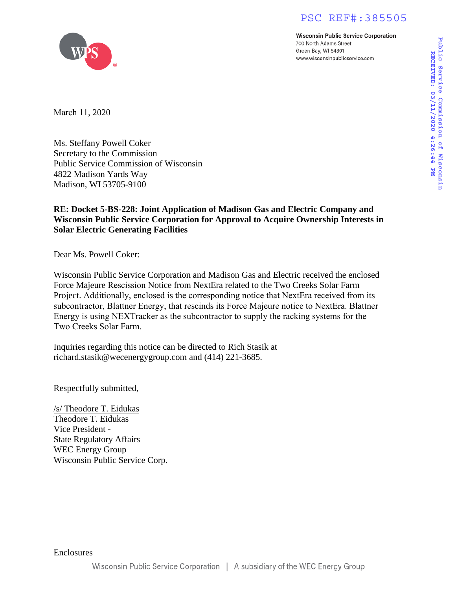# PSC REF#:385505

**Wisconsin Public Service Corporation** 700 North Adams Street Green Bay, WI 54301 www.wisconsinpublicservice.com



March 11, 2020

Ms. Steffany Powell Coker Secretary to the Commission Public Service Commission of Wisconsin 4822 Madison Yards Way Madison, WI 53705-9100

# **RE: Docket 5-BS-228: Joint Application of Madison Gas and Electric Company and Wisconsin Public Service Corporation for Approval to Acquire Ownership Interests in Solar Electric Generating Facilities**

Dear Ms. Powell Coker:

Wisconsin Public Service Corporation and Madison Gas and Electric received the enclosed Force Majeure Rescission Notice from NextEra related to the Two Creeks Solar Farm Project. Additionally, enclosed is the corresponding notice that NextEra received from its subcontractor, Blattner Energy, that rescinds its Force Majeure notice to NextEra. Blattner Energy is using NEXTracker as the subcontractor to supply the racking systems for the [Two Creeks Solar Farm.](mailto:richard.stasik@wecenergygroup.com)

Inquiries regarding this notice can be directed to Rich Stasik at richard.stasik@wecenergygroup.com and (414) 221-3685.

Respectfully submitted,

/s/ Theodore T. Eidukas Theodore T. Eidukas Vice President - State Regulatory Affairs WEC Energy Group Wisconsin Public Service Corp.

Enclosures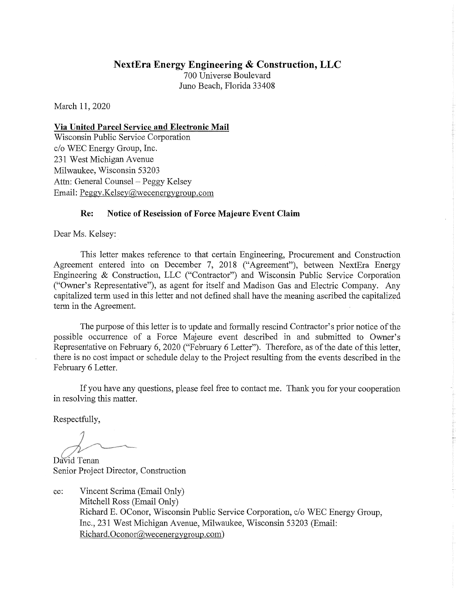# **NextEra Energy Engineering & Construction, LLC**

700 Universe Boulevard Juno Beach, Florida 33408

March 11, 2020

### Via United Parcel Service and Electronic Mail

Wisconsin Public Service Corporation c/o WEC Energy Group, Inc. 231 West Michigan Avenue Milwaukee, Wisconsin 53203 Attn: General Counsel – Peggy Kelsey Email: Peggy.Kelsey@wecenergygroup.com

#### Notice of Rescission of Force Majeure Event Claim Re:

Dear Ms. Kelsey:

This letter makes reference to that certain Engineering, Procurement and Construction Agreement entered into on December 7, 2018 ("Agreement"), between NextEra Energy Engineering & Construction, LLC ("Contractor") and Wisconsin Public Service Corporation ("Owner's Representative"), as agent for itself and Madison Gas and Electric Company. Any capitalized term used in this letter and not defined shall have the meaning ascribed the capitalized term in the Agreement.

The purpose of this letter is to update and formally rescind Contractor's prior notice of the possible occurrence of a Force Majeure event described in and submitted to Owner's Representative on February 6, 2020 ("February 6 Letter"). Therefore, as of the date of this letter, there is no cost impact or schedule delay to the Project resulting from the events described in the February 6 Letter.

If you have any questions, please feel free to contact me. Thank you for your cooperation in resolving this matter.

Respectfully,

David Tenan

Senior Project Director, Construction

Vincent Scrima (Email Only) cc: Mitchell Ross (Email Only) Richard E. OConor, Wisconsin Public Service Corporation, c/o WEC Energy Group, Inc., 231 West Michigan Avenue, Milwaukee, Wisconsin 53203 (Email: Richard.Oconor@wecenergygroup.com)